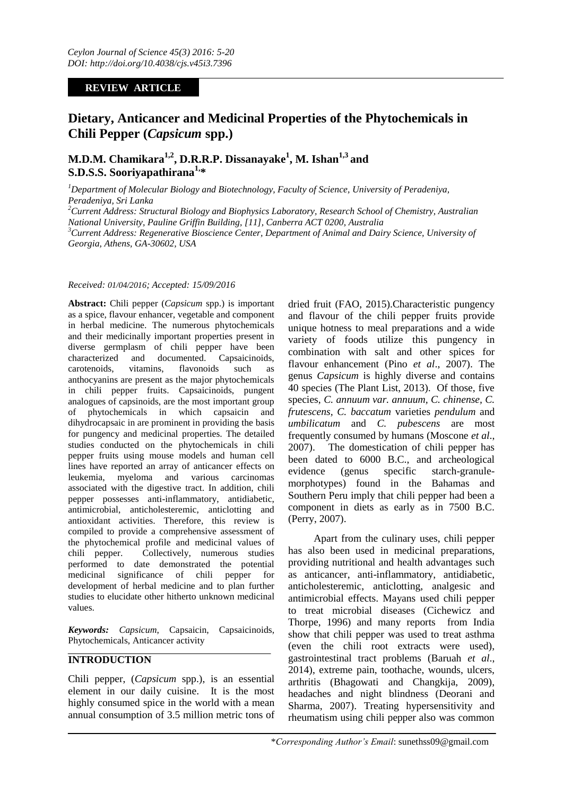## **REVIEW ARTICLE**

# **Dietary, Anticancer and Medicinal Properties of the Phytochemicals in Chili Pepper (***Capsicum* **spp.)**

# **M.D.M. Chamikara1,2 , D.R.R.P. Dissanayake<sup>1</sup> , M. Ishan1,3 and S.D.S.S. Sooriyapathirana1, \***

*<sup>1</sup>Department of Molecular Biology and Biotechnology, Faculty of Science, University of Peradeniya, Peradeniya, Sri Lanka*

*<sup>2</sup>Current Address: Structural Biology and Biophysics Laboratory, Research School of Chemistry, Australian National University, Pauline Griffin Building, [11], Canberra ACT 0200, Australia*

*<sup>3</sup>Current Address: Regenerative Bioscience Center, Department of Animal and Dairy Science, University of Georgia, Athens, GA-30602, USA*

#### *Received: 01/04/2016; Accepted: 15/09/2016*

**Abstract:** Chili pepper (*Capsicum* spp.) is important as a spice, flavour enhancer, vegetable and component in herbal medicine. The numerous phytochemicals and their medicinally important properties present in diverse germplasm of chili pepper have been characterized and documented. Capsaicinoids, carotenoids, vitamins, flavonoids such as anthocyanins are present as the major phytochemicals in chili pepper fruits. Capsaicinoids, pungent analogues of capsinoids, are the most important group of phytochemicals in which capsaicin and dihydrocapsaic in are prominent in providing the basis for pungency and medicinal properties. The detailed studies conducted on the phytochemicals in chili pepper fruits using mouse models and human cell lines have reported an array of anticancer effects on leukemia, myeloma and various carcinomas associated with the digestive tract. In addition, chili pepper possesses anti-inflammatory, antidiabetic, antimicrobial, anticholesteremic, anticlotting and antioxidant activities. Therefore, this review is compiled to provide a comprehensive assessment of the phytochemical profile and medicinal values of chili pepper. Collectively, numerous studies performed to date demonstrated the potential medicinal significance of chili pepper for development of herbal medicine and to plan further studies to elucidate other hitherto unknown medicinal values.

*Keywords: Capsicum*, Capsaicin, Capsaicinoids, Phytochemicals, Anticancer activity

## **INTRODUCTION**

Chili pepper, (*Capsicum* spp.), is an essential element in our daily cuisine. It is the most highly consumed spice in the world with a mean annual consumption of 3.5 million metric tons of

dried fruit (FAO, 2015).Characteristic pungency and flavour of the chili pepper fruits provide unique hotness to meal preparations and a wide variety of foods utilize this pungency in combination with salt and other spices for flavour enhancement (Pino *et al*., 2007). The genus *Capsicum* is highly diverse and contains 40 species (The Plant List, 2013). Of those, five species, *C. annuum var. annuum, C. chinense, C. frutescens, C. baccatum* varieties *pendulum* and *umbilicatum* and *C. pubescens* are most frequently consumed by humans (Moscone *et al*., 2007). The domestication of chili pepper has been dated to 6000 B.C., and archeological evidence (genus specific starch-granulemorphotypes) found in the Bahamas and Southern Peru imply that chili pepper had been a component in diets as early as in 7500 B.C. (Perry, 2007).

Apart from the culinary uses, chili pepper has also been used in medicinal preparations, providing nutritional and health advantages such as anticancer, anti-inflammatory, antidiabetic, anticholesteremic, anticlotting, analgesic and antimicrobial effects. Mayans used chili pepper to treat microbial diseases (Cichewicz and Thorpe, 1996) and many reports from India show that chili pepper was used to treat asthma (even the chili root extracts were used), gastrointestinal tract problems (Baruah *et al*., 2014), extreme pain, toothache, wounds, ulcers, arthritis (Bhagowati and Changkija, 2009), headaches and night blindness (Deorani and Sharma, 2007). Treating hypersensitivity and rheumatism using chili pepper also was common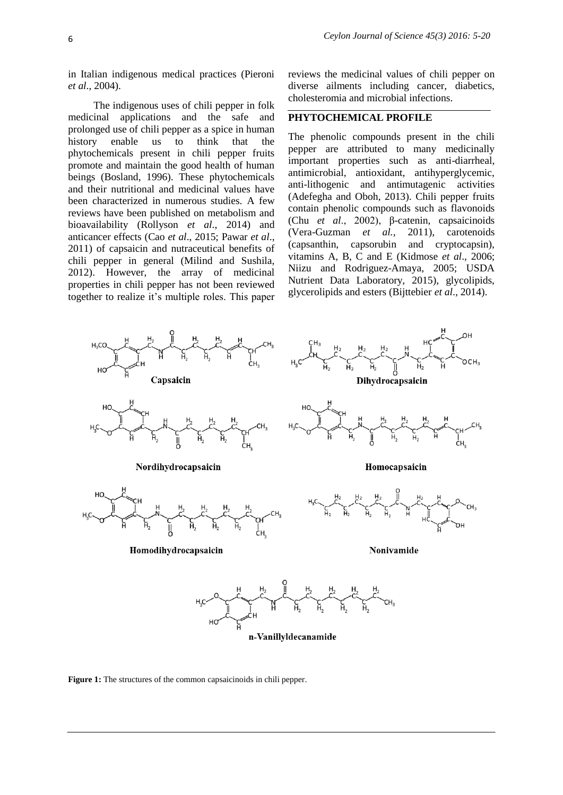in Italian indigenous medical practices (Pieroni *et al*., 2004).

The indigenous uses of chili pepper in folk medicinal applications and the safe and prolonged use of chili pepper as a spice in human history enable us to think that the phytochemicals present in chili pepper fruits promote and maintain the good health of human beings (Bosland, 1996). These phytochemicals and their nutritional and medicinal values have been characterized in numerous studies. A few reviews have been published on metabolism and bioavailability (Rollyson *et al*., 2014) and anticancer effects (Cao *et al*., 2015; Pawar *et al*., 2011) of capsaicin and nutraceutical benefits of chili pepper in general (Milind and Sushila, 2012). However, the array of medicinal properties in chili pepper has not been reviewed together to realize it"s multiple roles. This paper reviews the medicinal values of chili pepper on diverse ailments including cancer, diabetics, cholesteromia and microbial infections.

## **PHYTOCHEMICAL PROFILE**

The phenolic compounds present in the chili pepper are attributed to many medicinally important properties such as anti-diarrheal, antimicrobial, antioxidant, antihyperglycemic, anti-lithogenic and antimutagenic activities (Adefegha and Oboh, 2013). Chili pepper fruits contain phenolic compounds such as flavonoids (Chu *et al*., 2002), β-catenin, capsaicinoids (Vera-Guzman *et al.,* 2011), carotenoids (capsanthin, capsorubin and cryptocapsin), vitamins A, B, C and E (Kidmose *et al*., 2006; Niizu and Rodriguez-Amaya, 2005; USDA Nutrient Data Laboratory, 2015), glycolipids, glycerolipids and esters (Bijttebier *et al*., 2014).



n-Vanillyldecanamide

**Figure 1:** The structures of the common capsaicinoids in chili pepper.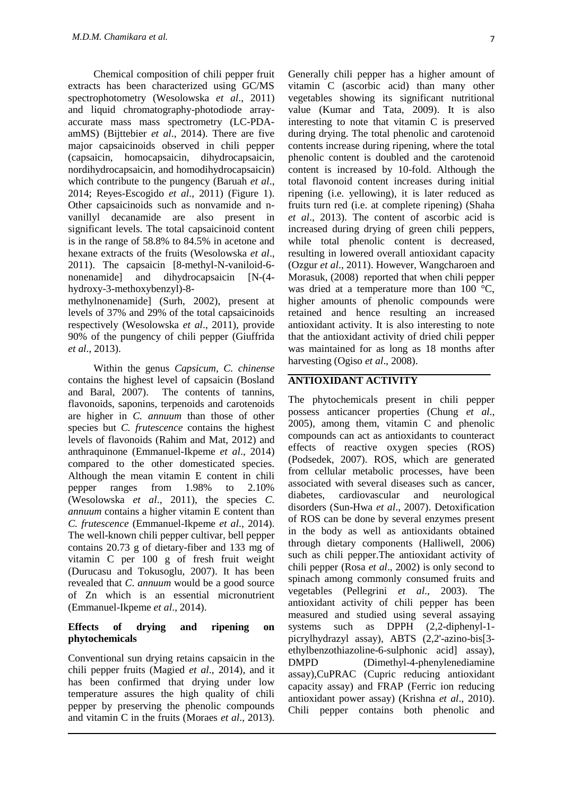Chemical composition of chili pepper fruit extracts has been characterized using GC/MS spectrophotometry (Wesolowska *et al*., 2011) and liquid chromatography-photodiode arrayaccurate mass mass spectrometry (LC-PDAamMS) (Bijttebier *et al*., 2014). There are five major capsaicinoids observed in chili pepper (capsaicin, homocapsaicin, dihydrocapsaicin, nordihydrocapsaicin, and homodihydrocapsaicin) which contribute to the pungency (Baruah *et al*., 2014; Reyes-Escogido *et al*., 2011) (Figure 1). Other capsaicinoids such as nonvamide and nvanillyl decanamide are also present in significant levels. The total capsaicinoid content is in the range of 58.8% to 84.5% in acetone and hexane extracts of the fruits (Wesolowska *et al*., 2011). The capsaicin [8-methyl-N-vaniloid-6 nonenamide] and dihydrocapsaicin [N-(4 hydroxy-3-methoxybenzyl)-8-

methylnonenamide] (Surh, 2002), present at levels of 37% and 29% of the total capsaicinoids respectively (Wesolowska *et al*., 2011), provide 90% of the pungency of chili pepper (Giuffrida *et al*., 2013).

Within the genus *Capsicum*, *C. chinense* contains the highest level of capsaicin (Bosland and Baral, 2007). The contents of tannins, flavonoids, saponins, terpenoids and carotenoids are higher in *C. annuum* than those of other species but *C. frutescence* contains the highest levels of flavonoids (Rahim and Mat, 2012) and anthraquinone (Emmanuel-Ikpeme *et al*., 2014) compared to the other domesticated species. Although the mean vitamin E content in chili pepper ranges from 1.98% to 2.10% (Wesolowska *et al*., 2011), the species *C. annuum* contains a higher vitamin E content than *C. frutescence* (Emmanuel-Ikpeme *et al*., 2014). The well-known chili pepper cultivar, bell pepper contains 20.73 g of dietary-fiber and 133 mg of vitamin C per 100 g of fresh fruit weight (Durucasu and Tokusoglu, 2007). It has been revealed that *C*. *annuum* would be a good source of Zn which is an essential micronutrient (Emmanuel-Ikpeme *et al*., 2014).

#### **Effects of drying and ripening on phytochemicals**

Conventional sun drying retains capsaicin in the chili pepper fruits (Magied *et al*., 2014), and it has been confirmed that drying under low temperature assures the high quality of chili pepper by preserving the phenolic compounds and vitamin C in the fruits (Moraes *et al*., 2013).

Generally chili pepper has a higher amount of vitamin C (ascorbic acid) than many other vegetables showing its significant nutritional value (Kumar and Tata, 2009). It is also interesting to note that vitamin C is preserved during drying. The total phenolic and carotenoid contents increase during ripening, where the total phenolic content is doubled and the carotenoid content is increased by 10-fold. Although the total flavonoid content increases during initial ripening (i.e. yellowing), it is later reduced as fruits turn red (i.e. at complete ripening) (Shaha *et al*., 2013). The content of ascorbic acid is increased during drying of green chili peppers, while total phenolic content is decreased, resulting in lowered overall antioxidant capacity (Ozgur *et al*., 2011). However, Wangcharoen and Morasuk, (2008) reported that when chili pepper was dried at a temperature more than 100 °C, higher amounts of phenolic compounds were retained and hence resulting an increased antioxidant activity. It is also interesting to note that the antioxidant activity of dried chili pepper was maintained for as long as 18 months after harvesting (Ogiso *et al*., 2008).

## **ANTIOXIDANT ACTIVITY**

The phytochemicals present in chili pepper possess anticancer properties (Chung *et al*., 2005), among them, vitamin C and phenolic compounds can act as antioxidants to counteract effects of reactive oxygen species (ROS) (Podsedek, 2007). ROS, which are generated from cellular metabolic processes, have been associated with several diseases such as cancer, diabetes, cardiovascular and neurological disorders (Sun-Hwa *et al*., 2007). Detoxification of ROS can be done by several enzymes present in the body as well as antioxidants obtained through dietary components (Halliwell, 2006) such as chili pepper.The antioxidant activity of chili pepper (Rosa *et al*., 2002) is only second to spinach among commonly consumed fruits and vegetables (Pellegrini *et al*., 2003). The antioxidant activity of chili pepper has been measured and studied using several assaying systems such as DPPH (2,2-diphenyl-1 picrylhydrazyl assay), ABTS (2,2'-azino-bis[3 ethylbenzothiazoline-6-sulphonic acid] assay), DMPD (Dimethyl-4-phenylenediamine assay),CuPRAC (Cupric reducing antioxidant capacity assay) and FRAP (Ferric ion reducing antioxidant power assay) (Krishna *et al*., 2010). Chili pepper contains both phenolic and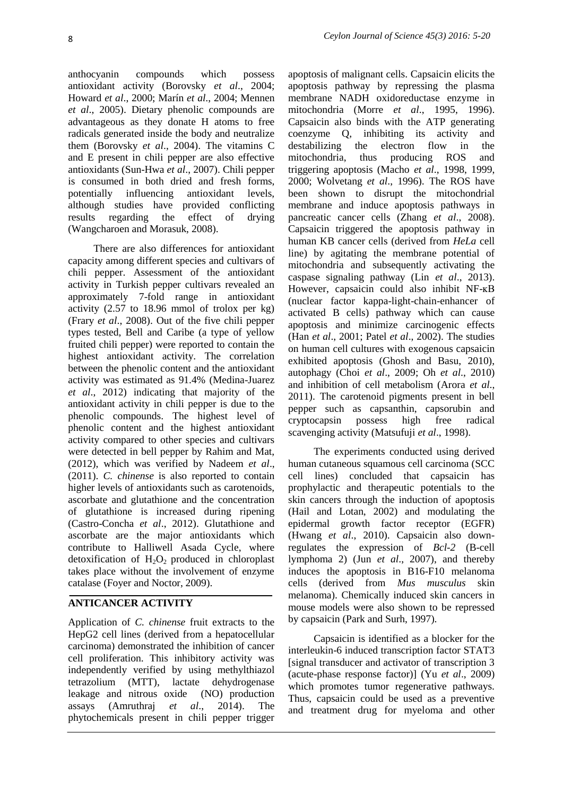anthocyanin compounds which possess antioxidant activity (Borovsky *et al*., 2004; Howard *et al*., 2000; Marín *et al*., 2004; Mennen *et al*., 2005). Dietary phenolic compounds are advantageous as they donate H atoms to free radicals generated inside the body and neutralize them (Borovsky *et al*., 2004). The vitamins C and E present in chili pepper are also effective antioxidants (Sun-Hwa *et al*., 2007). Chili pepper is consumed in both dried and fresh forms, potentially influencing antioxidant levels, although studies have provided conflicting results regarding the effect of drying (Wangcharoen and Morasuk, 2008).

There are also differences for antioxidant capacity among different species and cultivars of chili pepper. Assessment of the antioxidant activity in Turkish pepper cultivars revealed an approximately 7-fold range in antioxidant activity (2.57 to 18.96 mmol of trolox per kg) (Frary *et al*., 2008). Out of the five chili pepper types tested, Bell and Caribe (a type of yellow fruited chili pepper) were reported to contain the highest antioxidant activity. The correlation between the phenolic content and the antioxidant activity was estimated as 91.4% (Medina-Juarez *et al*., 2012) indicating that majority of the antioxidant activity in chili pepper is due to the phenolic compounds. The highest level of phenolic content and the highest antioxidant activity compared to other species and cultivars were detected in bell pepper by Rahim and Mat, (2012), which was verified by Nadeem *et al*., (2011). *C. chinense* is also reported to contain higher levels of antioxidants such as carotenoids, ascorbate and glutathione and the concentration of glutathione is increased during ripening (Castro-Concha *et al*., 2012). Glutathione and ascorbate are the major antioxidants which contribute to Halliwell Asada Cycle, where detoxification of  $H_2O_2$  produced in chloroplast takes place without the involvement of enzyme catalase (Foyer and Noctor, 2009).

## **ANTICANCER ACTIVITY**

Application of *C. chinense* fruit extracts to the HepG2 cell lines (derived from a hepatocellular carcinoma) demonstrated the inhibition of cancer cell proliferation. This inhibitory activity was independently verified by using methylthiazol tetrazolium (MTT), lactate dehydrogenase leakage and nitrous oxide (NO) production assays (Amruthraj *et al*., 2014). The phytochemicals present in chili pepper trigger

apoptosis of malignant cells. Capsaicin elicits the apoptosis pathway by repressing the plasma membrane NADH oxidoreductase enzyme in mitochondria (Morre *et al*., 1995, 1996). Capsaicin also binds with the ATP generating coenzyme Q, inhibiting its activity and destabilizing the electron flow in the mitochondria, thus producing ROS and triggering apoptosis (Macho *et al*., 1998, 1999, 2000; Wolvetang *et al*., 1996). The ROS have been shown to disrupt the mitochondrial membrane and induce apoptosis pathways in pancreatic cancer cells (Zhang *et al*., 2008). Capsaicin triggered the apoptosis pathway in human KB cancer cells (derived from *HeLa* cell line) by agitating the membrane potential of mitochondria and subsequently activating the caspase signaling pathway (Lin *et al*., 2013). However, capsaicin could also inhibit NF-ĸB (nuclear factor kappa-light-chain-enhancer of activated B cells) pathway which can cause apoptosis and minimize carcinogenic effects (Han *et al*., 2001; Patel *et al*., 2002). The studies on human cell cultures with exogenous capsaicin exhibited apoptosis (Ghosh and Basu, 2010), autophagy (Choi *et al*., 2009; Oh *et al*., 2010) and inhibition of cell metabolism (Arora *et al*., 2011). The carotenoid pigments present in bell pepper such as capsanthin, capsorubin and cryptocapsin possess high free radical scavenging activity (Matsufuji *et al*., 1998).

The experiments conducted using derived human cutaneous squamous cell carcinoma (SCC cell lines) concluded that capsaicin has prophylactic and therapeutic potentials to the skin cancers through the induction of apoptosis (Hail and Lotan, 2002) and modulating the epidermal growth factor receptor (EGFR) (Hwang *et al*., 2010). Capsaicin also downregulates the expression of *Bcl-2* (B-cell lymphoma 2) (Jun *et al*., 2007), and thereby induces the apoptosis in B16-F10 melanoma cells (derived from *Mus musculus* skin melanoma). Chemically induced skin cancers in mouse models were also shown to be repressed by capsaicin (Park and Surh, 1997).

Capsaicin is identified as a blocker for the interleukin-6 induced transcription factor STAT3 [signal transducer and activator of transcription 3 (acute-phase response factor)] (Yu *et al*., 2009) which promotes tumor regenerative pathways. Thus, capsaicin could be used as a preventive and treatment drug for myeloma and other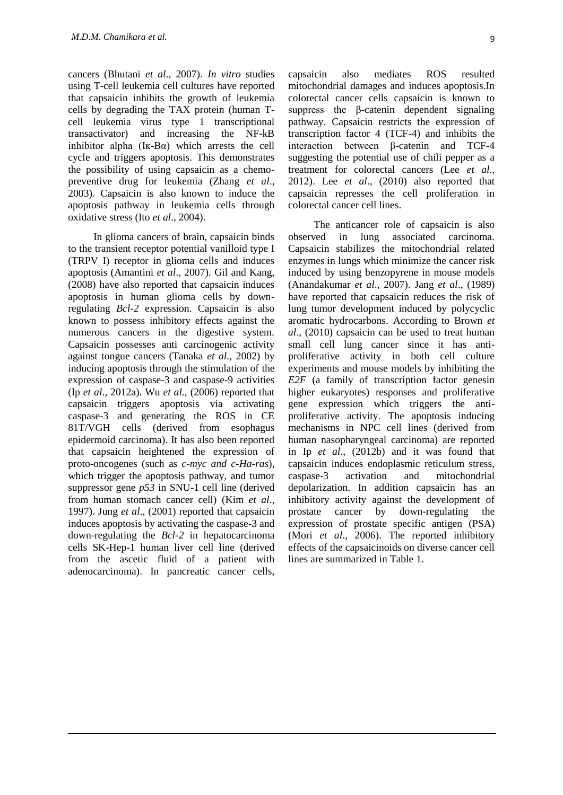cancers (Bhutani *et al*., 2007). *In vitro* studies using T-cell leukemia cell cultures have reported that capsaicin inhibits the growth of leukemia cells by degrading the TAX protein (human Tcell leukemia virus type 1 transcriptional transactivator) and increasing the NF-kB inhibitor alpha  $(K-B\alpha)$  which arrests the cell cycle and triggers apoptosis. This demonstrates the possibility of using capsaicin as a chemopreventive drug for leukemia (Zhang *et al*., 2003). Capsaicin is also known to induce the apoptosis pathway in leukemia cells through oxidative stress (Ito *et al*., 2004).

In glioma cancers of brain, capsaicin binds to the transient receptor potential vanilloid type I (TRPV I) receptor in glioma cells and induces apoptosis (Amantini *et al*., 2007). Gil and Kang, (2008) have also reported that capsaicin induces apoptosis in human glioma cells by downregulating *Bcl-2* expression. Capsaicin is also known to possess inhibitory effects against the numerous cancers in the digestive system. Capsaicin possesses anti carcinogenic activity against tongue cancers (Tanaka *et al*., 2002) by inducing apoptosis through the stimulation of the expression of caspase-3 and caspase-9 activities (Ip *et al*., 2012a). Wu *et al*., (2006) reported that capsaicin triggers apoptosis via activating caspase-3 and generating the ROS in CE 81T/VGH cells (derived from esophagus epidermoid carcinoma). It has also been reported that capsaicin heightened the expression of proto-oncogenes (such as *c-myc and c-Ha-ras*), which trigger the apoptosis pathway, and tumor suppressor gene *p53* in SNU-1 cell line (derived from human stomach cancer cell) (Kim *et al*., 1997). Jung *et al*., (2001) reported that capsaicin induces apoptosis by activating the caspase-3 and down-regulating the *Bcl-2* in hepatocarcinoma cells SK-Hep-1 human liver cell line (derived from the ascetic fluid of a patient with adenocarcinoma). In pancreatic cancer cells,

capsaicin also mediates ROS resulted mitochondrial damages and induces apoptosis.In colorectal cancer cells capsaicin is known to suppress the β-catenin dependent signaling pathway. Capsaicin restricts the expression of transcription factor 4 (TCF-4) and inhibits the interaction between β-catenin and TCF-4 suggesting the potential use of chili pepper as a treatment for colorectal cancers (Lee *et al*., 2012). Lee *et al*., (2010) also reported that capsaicin represses the cell proliferation in colorectal cancer cell lines.

The anticancer role of capsaicin is also observed in lung associated carcinoma. Capsaicin stabilizes the mitochondrial related enzymes in lungs which minimize the cancer risk induced by using benzopyrene in mouse models (Anandakumar *et al*., 2007). Jang *et al*., (1989) have reported that capsaicin reduces the risk of lung tumor development induced by polycyclic aromatic hydrocarbons. According to Brown *et al*., (2010) capsaicin can be used to treat human small cell lung cancer since it has antiproliferative activity in both cell culture experiments and mouse models by inhibiting the *E2F* (a family of transcription factor genesin higher eukaryotes) responses and proliferative gene expression which triggers the antiproliferative activity. The apoptosis inducing mechanisms in NPC cell lines (derived from human nasopharyngeal carcinoma) are reported in Ip *et al*., (2012b) and it was found that capsaicin induces endoplasmic reticulum stress, caspase-3 activation and mitochondrial depolarization. In addition capsaicin has an inhibitory activity against the development of prostate cancer by down-regulating the expression of prostate specific antigen (PSA) (Mori *et al*., 2006). The reported inhibitory effects of the capsaicinoids on diverse cancer cell lines are summarized in Table 1.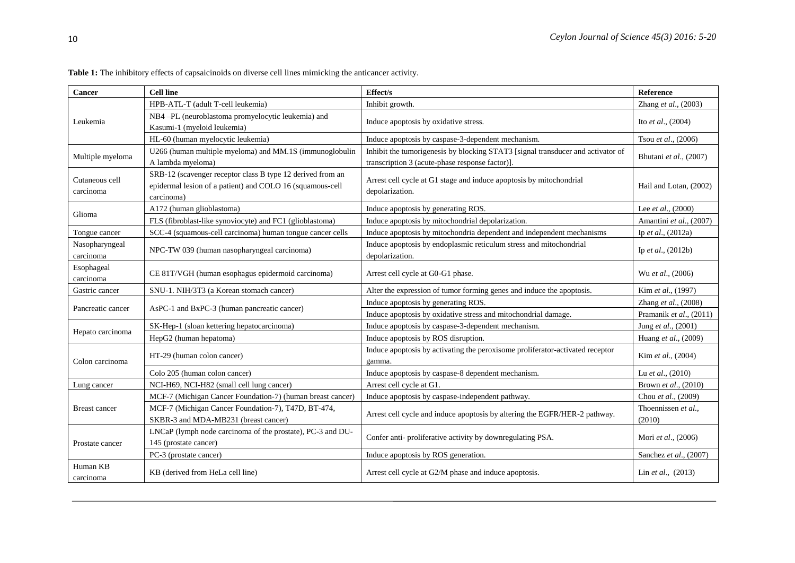| <b>Cancer</b>               | <b>Cell line</b>                                                                                                                      | <b>Effect/s</b>                                                                                                                    | Reference                    |
|-----------------------------|---------------------------------------------------------------------------------------------------------------------------------------|------------------------------------------------------------------------------------------------------------------------------------|------------------------------|
| Leukemia                    | HPB-ATL-T (adult T-cell leukemia)                                                                                                     | Inhibit growth.                                                                                                                    | Zhang et al., (2003)         |
|                             | NB4-PL (neuroblastoma promyelocytic leukemia) and                                                                                     | Induce apoptosis by oxidative stress.                                                                                              | Ito <i>et al.</i> , $(2004)$ |
|                             | Kasumi-1 (myeloid leukemia)                                                                                                           |                                                                                                                                    |                              |
|                             | HL-60 (human myelocytic leukemia)                                                                                                     | Induce apoptosis by caspase-3-dependent mechanism.                                                                                 | Tsou et al., (2006)          |
| Multiple myeloma            | U266 (human multiple myeloma) and MM.1S (immunoglobulin<br>A lambda myeloma)                                                          | Inhibit the tumorigenesis by blocking STAT3 [signal transducer and activator of<br>transcription 3 (acute-phase response factor)]. | Bhutani et al., (2007)       |
| Cutaneous cell<br>carcinoma | SRB-12 (scavenger receptor class B type 12 derived from an<br>epidermal lesion of a patient) and COLO 16 (squamous-cell<br>carcinoma) | Arrest cell cycle at G1 stage and induce apoptosis by mitochondrial<br>depolarization.                                             | Hail and Lotan, (2002)       |
| Glioma                      | A172 (human glioblastoma)                                                                                                             | Induce apoptosis by generating ROS.                                                                                                | Lee et al., (2000)           |
|                             | FLS (fibroblast-like synoviocyte) and FC1 (glioblastoma)                                                                              | Induce apoptosis by mitochondrial depolarization.                                                                                  | Amantini et al., (2007)      |
| Tongue cancer               | SCC-4 (squamous-cell carcinoma) human tongue cancer cells                                                                             | Induce apoptosis by mitochondria dependent and independent mechanisms                                                              | Ip et al., (2012a)           |
| Nasopharyngeal<br>carcinoma | NPC-TW 039 (human nasopharyngeal carcinoma)                                                                                           | Induce apoptosis by endoplasmic reticulum stress and mitochondrial<br>depolarization.                                              | Ip et al., $(2012b)$         |
| Esophageal<br>carcinoma     | CE 81T/VGH (human esophagus epidermoid carcinoma)                                                                                     | Arrest cell cycle at G0-G1 phase.                                                                                                  | Wu et al., (2006)            |
| Gastric cancer              | SNU-1. NIH/3T3 (a Korean stomach cancer)                                                                                              | Alter the expression of tumor forming genes and induce the apoptosis.                                                              | Kim et al., (1997)           |
| Pancreatic cancer           | AsPC-1 and BxPC-3 (human pancreatic cancer)                                                                                           | Induce apoptosis by generating ROS.                                                                                                | Zhang et al., (2008)         |
|                             |                                                                                                                                       | Induce apoptosis by oxidative stress and mitochondrial damage.                                                                     | Pramanik et al., (2011)      |
| Hepato carcinoma            | SK-Hep-1 (sloan kettering hepatocarcinoma)                                                                                            | Induce apoptosis by caspase-3-dependent mechanism.                                                                                 | Jung et al., (2001)          |
|                             | HepG2 (human hepatoma)                                                                                                                | Induce apoptosis by ROS disruption.                                                                                                | Huang et al., (2009)         |
| Colon carcinoma             | HT-29 (human colon cancer)                                                                                                            | Induce apoptosis by activating the peroxisome proliferator-activated receptor<br>gamma.                                            | Kim et al., (2004)           |
|                             | Colo 205 (human colon cancer)                                                                                                         | Induce apoptosis by caspase-8 dependent mechanism.                                                                                 | Lu et al., (2010)            |
| Lung cancer                 | NCI-H69, NCI-H82 (small cell lung cancer)                                                                                             | Arrest cell cycle at G1.                                                                                                           | Brown et al., (2010)         |
| <b>Breast cancer</b>        | MCF-7 (Michigan Cancer Foundation-7) (human breast cancer)                                                                            | Induce apoptosis by caspase-independent pathway.                                                                                   | Chou et al., (2009)          |
|                             | MCF-7 (Michigan Cancer Foundation-7), T47D, BT-474,                                                                                   | Arrest cell cycle and induce apoptosis by altering the EGFR/HER-2 pathway.                                                         | Thoennissen et al.,          |
|                             | SKBR-3 and MDA-MB231 (breast cancer)                                                                                                  |                                                                                                                                    | (2010)                       |
| Prostate cancer             | LNCaP (lymph node carcinoma of the prostate), PC-3 and DU-                                                                            | Confer anti- proliferative activity by downregulating PSA.                                                                         | Mori et al., (2006)          |
|                             | 145 (prostate cancer)                                                                                                                 |                                                                                                                                    |                              |
|                             | PC-3 (prostate cancer)                                                                                                                | Induce apoptosis by ROS generation.                                                                                                | Sanchez et al., (2007)       |
| Human KB<br>carcinoma       | KB (derived from HeLa cell line)                                                                                                      | Arrest cell cycle at G2/M phase and induce apoptosis.                                                                              | Lin et al., (2013)           |

**Table 1:** The inhibitory effects of capsaicinoids on diverse cell lines mimicking the anticancer activity.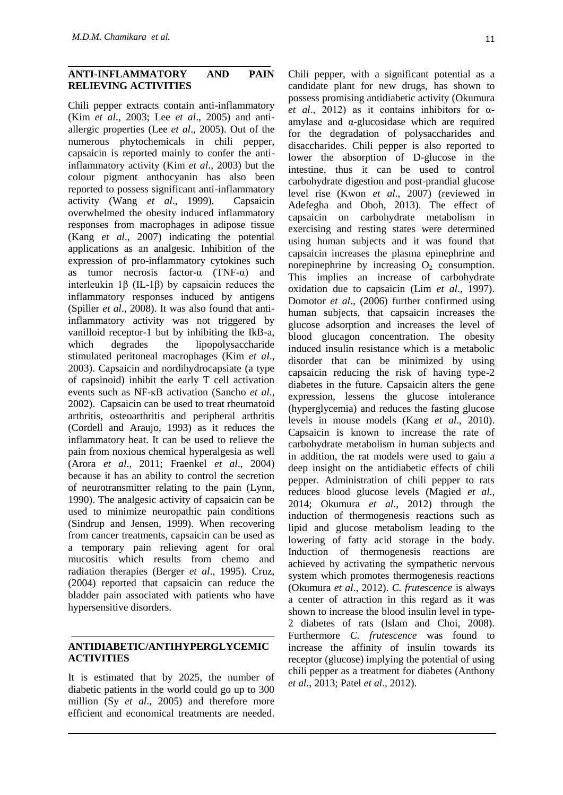#### **ANTI-INFLAMMATORY AND PAIN RELIEVING ACTIVITIES**

Chili pepper extracts contain anti-inflammatory (Kim *et al*., 2003; Lee *et al*., 2005) and antiallergic properties (Lee *et al*., 2005). Out of the numerous phytochemicals in chili pepper, capsaicin is reported mainly to confer the antiinflammatory activity (Kim *et al*., 2003) but the colour pigment anthocyanin has also been reported to possess significant anti-inflammatory activity (Wang *et al*., 1999). Capsaicin overwhelmed the obesity induced inflammatory responses from macrophages in adipose tissue (Kang *et al*., 2007) indicating the potential applications as an analgesic. Inhibition of the expression of pro-inflammatory cytokines such as tumor necrosis factor- $\alpha$  (TNF- $\alpha$ ) and interleukin 1β (IL-1β) by capsaicin reduces the inflammatory responses induced by antigens (Spiller *et al*., 2008). It was also found that antiinflammatory activity was not triggered by vanilloid receptor-1 but by inhibiting the IkB-a, which degrades the lipopolysaccharide stimulated peritoneal macrophages (Kim *et al*., 2003). Capsaicin and nordihydrocapsiate (a type of capsinoid) inhibit the early T cell activation events such as NF-ĸB activation (Sancho *et al*., 2002). Capsaicin can be used to treat rheumatoid arthritis, osteoarthritis and peripheral arthritis (Cordell and Araujo, 1993) as it reduces the inflammatory heat. It can be used to relieve the pain from noxious chemical hyperalgesia as well (Arora *et al*., 2011; Fraenkel *et al*., 2004) because it has an ability to control the secretion of neurotransmitter relating to the pain (Lynn, 1990). The analgesic activity of capsaicin can be used to minimize neuropathic pain conditions (Sindrup and Jensen, 1999). When recovering from cancer treatments, capsaicin can be used as a temporary pain relieving agent for oral mucositis which results from chemo and radiation therapies (Berger *et al*., 1995). Cruz, (2004) reported that capsaicin can reduce the bladder pain associated with patients who have hypersensitive disorders.

## **ANTIDIABETIC/ANTIHYPERGLYCEMIC ACTIVITIES**

It is estimated that by 2025, the number of diabetic patients in the world could go up to 300 million (Sy *et al*., 2005) and therefore more efficient and economical treatments are needed. Chili pepper, with a significant potential as a candidate plant for new drugs, has shown to possess promising antidiabetic activity (Okumura *et al*., 2012) as it contains inhibitors for αamylase and  $\alpha$ -glucosidase which are required for the degradation of polysaccharides and disaccharides. Chili pepper is also reported to lower the absorption of D-glucose in the intestine, thus it can be used to control carbohydrate digestion and post-prandial glucose level rise (Kwon *et al*., 2007) (reviewed in Adefegha and Oboh, 2013). The effect of capsaicin on carbohydrate metabolism in exercising and resting states were determined using human subjects and it was found that capsaicin increases the plasma epinephrine and norepinephrine by increasing  $O<sub>2</sub>$  consumption. This implies an increase of carbohydrate oxidation due to capsaicin (Lim *et al*., 1997). Domotor *et al*., (2006) further confirmed using human subjects, that capsaicin increases the glucose adsorption and increases the level of blood glucagon concentration. The obesity induced insulin resistance which is a metabolic disorder that can be minimized by using capsaicin reducing the risk of having type-2 diabetes in the future. Capsaicin alters the gene expression, lessens the glucose intolerance (hyperglycemia) and reduces the fasting glucose levels in mouse models (Kang *et al*., 2010). Capsaicin is known to increase the rate of carbohydrate metabolism in human subjects and in addition, the rat models were used to gain a deep insight on the antidiabetic effects of chili pepper. Administration of chili pepper to rats reduces blood glucose levels (Magied *et al*., 2014; Okumura *et al*., 2012) through the induction of thermogenesis reactions such as lipid and glucose metabolism leading to the lowering of fatty acid storage in the body. Induction of thermogenesis reactions are achieved by activating the sympathetic nervous system which promotes thermogenesis reactions (Okumura *et al*., 2012). *C. frutescence* is always a center of attraction in this regard as it was shown to increase the blood insulin level in type-2 diabetes of rats (Islam and Choi, 2008). Furthermore *C. frutescence* was found to increase the affinity of insulin towards its receptor (glucose) implying the potential of using chili pepper as a treatment for diabetes (Anthony *et al*., 2013; Patel *et al*., 2012).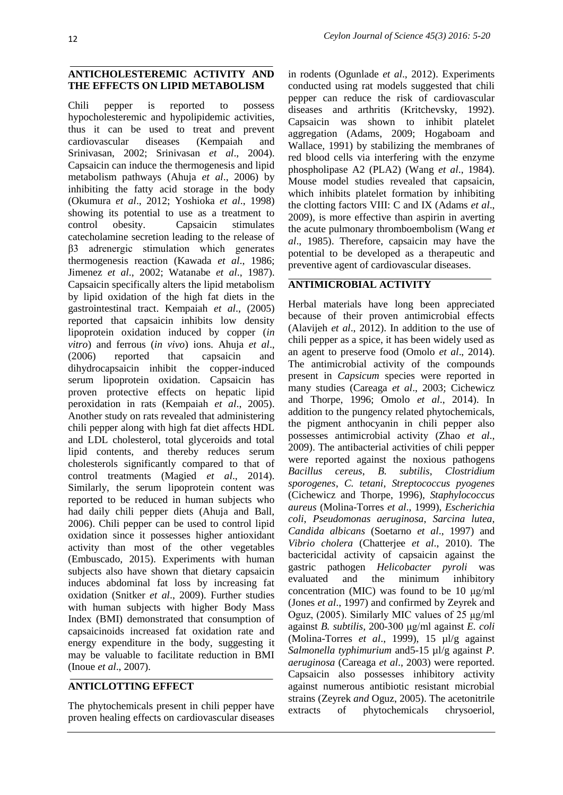## **ANTICHOLESTEREMIC ACTIVITY AND THE EFFECTS ON LIPID METABOLISM**

Chili pepper is reported to possess hypocholesteremic and hypolipidemic activities, thus it can be used to treat and prevent cardiovascular diseases (Kempaiah and Srinivasan, 2002; Srinivasan *et al*., 2004). Capsaicin can induce the thermogenesis and lipid metabolism pathways (Ahuja *et al*., 2006) by inhibiting the fatty acid storage in the body (Okumura *et al*., 2012; Yoshioka *et al*., 1998) showing its potential to use as a treatment to control obesity. Capsaicin stimulates catecholamine secretion leading to the release of β3 adrenergic stimulation which generates thermogenesis reaction (Kawada *et al*., 1986; Jimenez *et al*., 2002; Watanabe *et al*., 1987). Capsaicin specifically alters the lipid metabolism by lipid oxidation of the high fat diets in the gastrointestinal tract. Kempaiah *et al*., (2005) reported that capsaicin inhibits low density lipoprotein oxidation induced by copper (*in vitro*) and ferrous (*in vivo*) ions. Ahuja *et al*., (2006) reported that capsaicin and dihydrocapsaicin inhibit the copper-induced serum lipoprotein oxidation. Capsaicin has proven protective effects on hepatic lipid peroxidation in rats (Kempaiah *et al*., 2005). Another study on rats revealed that administering chili pepper along with high fat diet affects HDL and LDL cholesterol, total glyceroids and total lipid contents, and thereby reduces serum cholesterols significantly compared to that of control treatments (Magied *et al*., 2014). Similarly, the serum lipoprotein content was reported to be reduced in human subjects who had daily chili pepper diets (Ahuja and Ball, 2006). Chili pepper can be used to control lipid oxidation since it possesses higher antioxidant activity than most of the other vegetables (Embuscado, 2015). Experiments with human subjects also have shown that dietary capsaicin induces abdominal fat loss by increasing fat oxidation (Snitker *et al*., 2009). Further studies with human subjects with higher Body Mass Index (BMI) demonstrated that consumption of capsaicinoids increased fat oxidation rate and energy expenditure in the body, suggesting it may be valuable to facilitate reduction in BMI (Inoue *et al*., 2007).

## **ANTICLOTTING EFFECT**

The phytochemicals present in chili pepper have proven healing effects on cardiovascular diseases

in rodents (Ogunlade *et al*., 2012). Experiments conducted using rat models suggested that chili pepper can reduce the risk of cardiovascular diseases and arthritis (Kritchevsky, 1992). Capsaicin was shown to inhibit platelet aggregation (Adams, 2009; Hogaboam and Wallace, 1991) by stabilizing the membranes of red blood cells via interfering with the enzyme phospholipase A2 (PLA2) (Wang *et al*., 1984). Mouse model studies revealed that capsaicin, which inhibits platelet formation by inhibiting the clotting factors VIII: C and IX (Adams *et al*., 2009), is more effective than aspirin in averting the acute pulmonary thromboembolism (Wang *et al*., 1985). Therefore, capsaicin may have the potential to be developed as a therapeutic and preventive agent of cardiovascular diseases.

# **ANTIMICROBIAL ACTIVITY**

Herbal materials have long been appreciated because of their proven antimicrobial effects (Alavijeh *et al*., 2012). In addition to the use of chili pepper as a spice, it has been widely used as an agent to preserve food (Omolo *et al*., 2014). The antimicrobial activity of the compounds present in *Capsicum* species were reported in many studies (Careaga *et al*., 2003; Cichewicz and Thorpe, 1996; Omolo *et al*., 2014). In addition to the pungency related phytochemicals, the pigment anthocyanin in chili pepper also possesses antimicrobial activity (Zhao *et al*., 2009). The antibacterial activities of chili pepper were reported against the noxious pathogens *Bacillus cereus*, *B. subtilis*, *Clostridium sporogenes*, *C. tetani*, *Streptococcus pyogenes* (Cichewicz and Thorpe, 1996), *Staphylococcus aureus* (Molina-Torres *et al*., 1999), *Escherichia coli*, *Pseudomonas aeruginosa*, *Sarcina lutea*, *Candida albicans* (Soetarno *et al*., 1997) and *Vibrio cholera* (Chatterjee *et al*., 2010). The bactericidal activity of capsaicin against the gastric pathogen *Helicobacter pyroli* was evaluated and the minimum inhibitory concentration (MIC) was found to be 10 μg/ml (Jones *et al*., 1997) and confirmed by Zeyrek and Oguz, (2005). Similarly MIC values of 25 μg/ml against *B. subtilis*, 200-300 μg/ml against *E. coli* (Molina-Torres *et al*., 1999), 15 µl/g against *Salmonella typhimurium* and5-15 µl/g against *P. aeruginosa* (Careaga *et al*., 2003) were reported. Capsaicin also possesses inhibitory activity against numerous antibiotic resistant microbial strains (Zeyrek *and* Oguz, 2005). The acetonitrile extracts of phytochemicals chrysoeriol,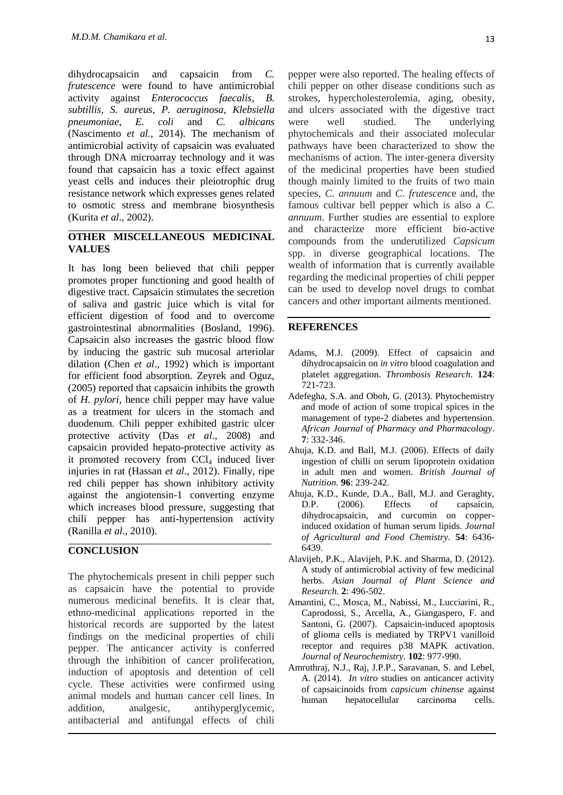dihydrocapsaicin and capsaicin from *C. frutescence* were found to have antimicrobial activity against *Enterococcus faecalis*, *B. subtillis*, *S. aureus*, *P. aeruginosa*, *Klebsiella pneumoniae*, *E. coli* and *C. albicans* (Nascimento *et al.,* 2014). The mechanism of antimicrobial activity of capsaicin was evaluated through DNA microarray technology and it was found that capsaicin has a toxic effect against yeast cells and induces their pleiotrophic drug resistance network which expresses genes related to osmotic stress and membrane biosynthesis (Kurita *et al*., 2002).

## **OTHER MISCELLANEOUS MEDICINAL VALUES**

It has long been believed that chili pepper promotes proper functioning and good health of digestive tract. Capsaicin stimulates the secretion of saliva and gastric juice which is vital for efficient digestion of food and to overcome gastrointestinal abnormalities (Bosland, 1996). Capsaicin also increases the gastric blood flow by inducing the gastric sub mucosal arteriolar dilation (Chen *et al*., 1992) which is important for efficient food absorption. Zeyrek and Oguz, (2005) reported that capsaicin inhibits the growth of *H. pylori*, hence chili pepper may have value as a treatment for ulcers in the stomach and duodenum. Chili pepper exhibited gastric ulcer protective activity (Das *et al*., 2008) and capsaicin provided hepato-protective activity as it promoted recovery from CCl<sub>4</sub> induced liver injuries in rat (Hassan *et al*., 2012). Finally, ripe red chili pepper has shown inhibitory activity against the angiotensin-1 converting enzyme which increases blood pressure, suggesting that chili pepper has anti-hypertension activity (Ranilla *et al*., 2010).

## **CONCLUSION**

The phytochemicals present in chili pepper such as capsaicin have the potential to provide numerous medicinal benefits. It is clear that, ethno-medicinal applications reported in the historical records are supported by the latest findings on the medicinal properties of chili pepper. The anticancer activity is conferred through the inhibition of cancer proliferation, induction of apoptosis and detention of cell cycle. These activities were confirmed using animal models and human cancer cell lines. In addition, analgesic, antihyperglycemic, antibacterial and antifungal effects of chili

pepper were also reported. The healing effects of chili pepper on other disease conditions such as strokes, hypercholesterolemia, aging, obesity, and ulcers associated with the digestive tract were well studied. The underlying phytochemicals and their associated molecular pathways have been characterized to show the mechanisms of action. The inter-genera diversity of the medicinal properties have been studied though mainly limited to the fruits of two main species, *C*. *annuum* and *C*. *frutescenc*e and, the famous cultivar bell pepper which is also a *C. annuum*. Further studies are essential to explore and characterize more efficient bio-active compounds from the underutilized *Capsicum* spp. in diverse geographical locations. The wealth of information that is currently available regarding the medicinal properties of chili pepper can be used to develop novel drugs to combat cancers and other important ailments mentioned.

## **REFERENCES**

- Adams, M.J. (2009). Effect of capsaicin and dihydrocapsaicin on *in vitro* blood coagulation and platelet aggregation. *Thrombosis Research.* **124**: 721-723.
- Adefegha, S.A. and Oboh, G. (2013). Phytochemistry and mode of action of some tropical spices in the management of type-2 diabetes and hypertension. *African Journal of Pharmacy and Pharmacology.*  **7**: 332-346.
- Ahuja, K.D. and Ball, M.J. (2006). Effects of daily ingestion of chilli on serum lipoprotein oxidation in adult men and women. *British Journal of Nutrition.* **96**: 239-242.
- Ahuja, K.D., Kunde, D.A., Ball, M.J. and Geraghty, D.P. (2006). Effects of capsaicin, dihydrocapsaicin, and curcumin on copperinduced oxidation of human serum lipids. *Journal of Agricultural and Food Chemistry.* **54**: 6436- 6439.
- Alavijeh, P.K., Alavijeh, P.K. and Sharma, D. (2012). A study of antimicrobial activity of few medicinal herbs. *Asian Journal of Plant Science and Research.* **2**: 496-502.
- Amantini, C., Mosca, M., Nabissi, M., Lucciarini, R., Caprodossi, S., Arcella, A., Giangaspero, F. and Santoni, G. (2007). Capsaicin-induced apoptosis of glioma cells is mediated by TRPV1 vanilloid receptor and requires p38 MAPK activation. *Journal of Neurochemistry.* **102**: 977-990.
- Amruthraj, N.J., Raj, J.P.P., Saravanan, S. and Lebel, A. (2014). *In vitro* studies on anticancer activity of capsaicinoids from *capsicum chinense* against human hepatocellular carcinoma cells.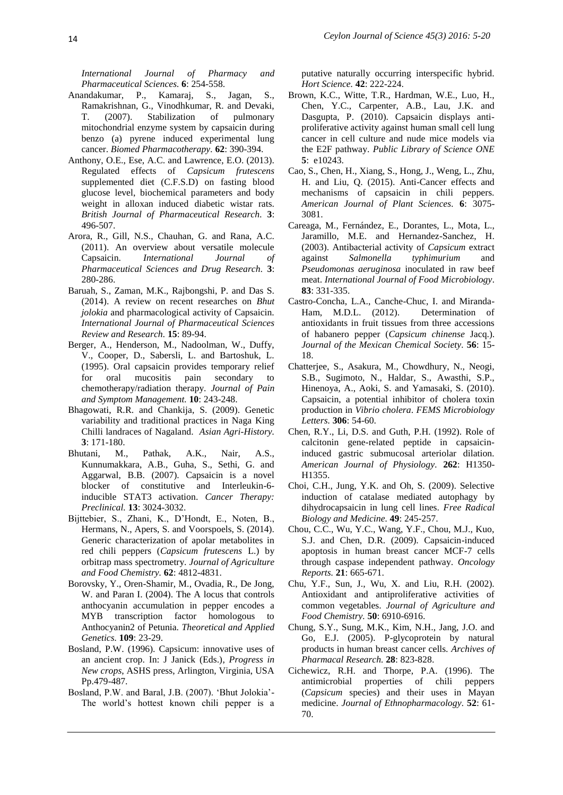*International Journal of Pharmacy and Pharmaceutical Sciences.* **6**: 254-558.

- Anandakumar, P., Kamaraj, S., Jagan, S., Ramakrishnan, G., Vinodhkumar, R. and Devaki, T. (2007). Stabilization of pulmonary mitochondrial enzyme system by capsaicin during benzo (a) pyrene induced experimental lung cancer. *Biomed Pharmacotherapy.* **62**: 390-394.
- Anthony, O.E., Ese, A.C. and Lawrence, E.O. (2013). Regulated effects of *Capsicum frutescens* supplemented diet (C.F.S.D) on fasting blood glucose level, biochemical parameters and body weight in alloxan induced diabetic wistar rats. *British Journal of Pharmaceutical Research.* **3**: 496-507.
- Arora, R., Gill, N.S., Chauhan, G. and Rana, A.C. (2011). An overview about versatile molecule Capsaicin. *International Journal of Pharmaceutical Sciences and Drug Research.* **3**: 280-286.
- Baruah, S., Zaman, M.K., Rajbongshi, P. and Das S. (2014). A review on recent researches on *Bhut jolokia* and pharmacological activity of Capsaicin. *International Journal of Pharmaceutical Sciences Review and Research.* **15**: 89-94.
- Berger, A., Henderson, M., Nadoolman, W., Duffy, V., Cooper, D., Sabersli, L. and Bartoshuk, L. (1995). Oral capsaicin provides temporary relief for oral mucositis pain secondary to chemotherapy/radiation therapy. *Journal of Pain and Symptom Management.* **10**: 243-248.
- Bhagowati, R.R. and Chankija, S. (2009). Genetic variability and traditional practices in Naga King Chilli landraces of Nagaland. *Asian Agri-History.* **3**: 171-180.
- Bhutani, M., Pathak, A.K., Nair, A.S., Kunnumakkara, A.B., Guha, S., Sethi, G. and Aggarwal, B.B. (2007). Capsaicin is a novel blocker of constitutive and Interleukin-6 inducible STAT3 activation. *Cancer Therapy: Preclinical.* **13**: 3024-3032.
- Bijttebier, S., Zhani, K., D"Hondt, E., Noten, B., Hermans, N., Apers, S. and Voorspoels, S. (2014). Generic characterization of apolar metabolites in red chili peppers (*Capsicum frutescens* L.) by orbitrap mass spectrometry. *Journal of Agriculture and Food Chemistry.* **62**: 4812-4831.
- Borovsky, Y., Oren-Shamir, M., Ovadia, R., De Jong, W. and Paran I. (2004). The A locus that controls anthocyanin accumulation in pepper encodes a MYB transcription factor homologous to Anthocyanin2 of Petunia. *Theoretical and Applied Genetics.* **109**: 23-29.
- Bosland, P.W. (1996). Capsicum: innovative uses of an ancient crop. In: J Janick (Eds.), *Progress in New crops*, ASHS press, Arlington, Virginia, USA Pp.479-487.
- Bosland, P.W. and Baral, J.B. (2007). "Bhut Jolokia"- The world"s hottest known chili pepper is a

putative naturally occurring interspecific hybrid. *Hort Science.* **42**: 222-224.

- Brown, K.C., Witte, T.R., Hardman, W.E., Luo, H., Chen, Y.C., Carpenter, A.B., Lau, J.K. and Dasgupta, P. (2010). Capsaicin displays antiproliferative activity against human small cell lung cancer in cell culture and nude mice models via the E2F pathway. *Public Library of Science ONE* **5**: e10243.
- Cao, S., Chen, H., Xiang, S., Hong, J., Weng, L., Zhu, H. and Liu, Q. (2015). Anti-Cancer effects and mechanisms of capsaicin in chili peppers. *American Journal of Plant Sciences.* **6**: 3075- 3081.
- Careaga, M., Fernández, E., Dorantes, L., Mota, L., Jaramillo, M.E. and Hernandez-Sanchez, H. (2003). Antibacterial activity of *Capsicum* extract against *Salmonella typhimurium* and *Pseudomonas aeruginosa* inoculated in raw beef meat. *International Journal of Food Microbiology.* **83**: 331-335.
- Castro-Concha, L.A., Canche-Chuc, I. and Miranda-Ham, M.D.L. (2012). Determination of antioxidants in fruit tissues from three accessions of habanero pepper (*Capsicum chinense* Jacq.). *Journal of the Mexican Chemical Society.* **56**: 15- 18.
- Chatterjee, S., Asakura, M., Chowdhury, N., Neogi, S.B., Sugimoto, N., Haldar, S., Awasthi, S.P., Hinenoya, A., Aoki, S. and Yamasaki, S. (2010). Capsaicin, a potential inhibitor of cholera toxin production in *Vibrio cholera*. *FEMS Microbiology Letters.* **306**: 54-60.
- Chen, R.Y., Li, D.S. and Guth, P.H. (1992). Role of calcitonin gene-related peptide in capsaicininduced gastric submucosal arteriolar dilation*. American Journal of Physiology.* **262**: H1350- H1355.
- Choi, C.H., Jung, Y.K. and Oh, S. (2009). Selective induction of catalase mediated autophagy by dihydrocapsaicin in lung cell lines. *Free Radical Biology and Medicine.* **49**: 245-257.
- Chou, C.C., Wu, Y.C., Wang, Y.F., Chou, M.J., Kuo, S.J. and Chen, D.R. (2009). Capsaicin-induced apoptosis in human breast cancer MCF-7 cells through caspase independent pathway. *Oncology Reports.* **21**: 665-671.
- Chu, Y.F., Sun, J., Wu, X. and Liu, R.H. (2002). Antioxidant and antiproliferative activities of common vegetables. *Journal of Agriculture and Food Chemistry.* **50**: 6910-6916.
- Chung, S.Y., Sung, M.K., Kim, N.H., Jang, J.O. and Go, E.J. (2005). P-glycoprotein by natural products in human breast cancer cells. *Archives of Pharmacal Research.* **28**: 823-828.
- Cichewicz, R.H. and Thorpe, P.A. (1996). The antimicrobial properties of chili peppers (*Capsicum* species) and their uses in Mayan medicine. *Journal of Ethnopharmacology.* **52**: 61- 70.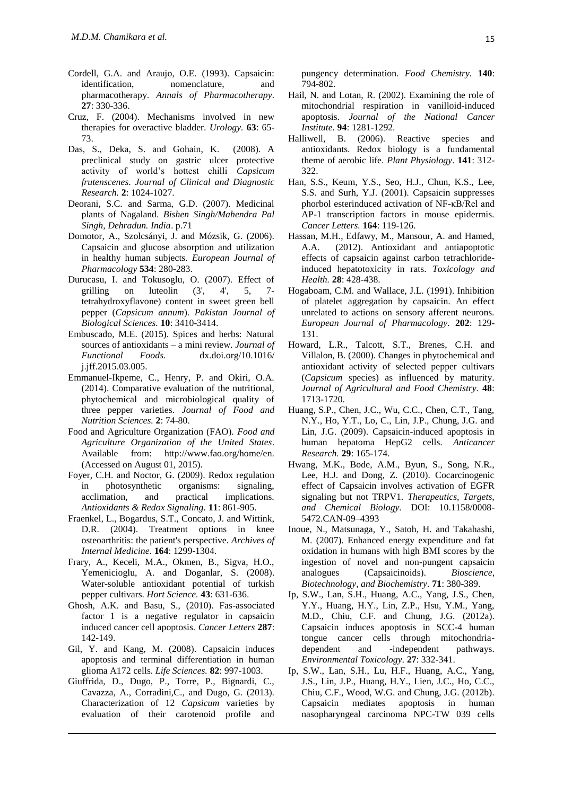- Cordell, G.A. and Araujo, O.E. (1993). Capsaicin: identification, nomenclature, and pharmacotherapy. *Annals of Pharmacotherapy.* **27**: 330-336.
- Cruz, F. (2004). Mechanisms involved in new therapies for overactive bladder. *Urology.* **63**: 65- 73.
- Das, S., Deka, S. and Gohain, K. (2008). A preclinical study on gastric ulcer protective activity of world"s hottest chilli *Capsicum frutenscenes*. *Journal of Clinical and Diagnostic Research.* **2**: 1024-1027.
- Deorani, S.C. and Sarma, G.D. (2007). Medicinal plants of Nagaland. *Bishen Singh/Mahendra Pal Singh, Dehradun. India*. p.71
- Domotor, A., Szolcsányi, J. and Mózsik, G. (2006). Capsaicin and glucose absorption and utilization in healthy human subjects. *European Journal of Pharmacology* **534**: 280-283.
- Durucasu, I. and Tokusoglu, O. (2007). Effect of grilling on luteolin  $(3', 4', 5, 7$ tetrahydroxyflavone) content in sweet green bell pepper (*Capsicum annum*). *Pakistan Journal of Biological Sciences.* **10**: 3410-3414.
- Embuscado, M.E. (2015). Spices and herbs: Natural sources of antioxidants – a mini review. *Journal of Functional Foods.* dx.doi.org/10.1016/ j.jff.2015.03.005.
- Emmanuel-Ikpeme, C., Henry, P. and Okiri, O.A. (2014). Comparative evaluation of the nutritional, phytochemical and microbiological quality of three pepper varieties. *Journal of Food and Nutrition Sciences.* **2**: 74-80.
- Food and Agriculture Organization (FAO). *Food and Agriculture Organization of the United States*. Available from: http://www.fao.org/home/en. (Accessed on August 01, 2015).
- Foyer, C.H. and Noctor, G. (2009). Redox regulation in photosynthetic organisms: signaling, acclimation, and practical implications. *Antioxidants & Redox Signaling.* **11**: 861-905.
- Fraenkel, L., Bogardus, S.T., Concato, J. and Wittink, D.R. (2004). Treatment options in knee osteoarthritis: the patient's perspective. *Archives of Internal Medicine.* **164**: 1299-1304.
- Frary, A., Keceli, M.A., Okmen, B., Sigva, H.O., Yemenicioglu, A. and Doganlar, S. (2008). Water-soluble antioxidant potential of turkish pepper cultivars. *Hort Science.* **43**: 631-636.
- Ghosh, A.K. and Basu, S., (2010). Fas-associated factor 1 is a negative regulator in capsaicin induced cancer cell apoptosis. *Cancer Letters* **287**: 142-149.
- Gil, Y. and Kang, M. (2008). Capsaicin induces apoptosis and terminal differentiation in human glioma A172 cells. *Life Sciences.* **82**: 997-1003.
- Giuffrida, D., Dugo, P., Torre, P., Bignardi, C., Cavazza, A., Corradini,C., and Dugo, G. (2013). Characterization of 12 *Capsicum* varieties by evaluation of their carotenoid profile and

pungency determination. *Food Chemistry.* **140**: 794-802.

- Hail, N. and Lotan, R. (2002). Examining the role of mitochondrial respiration in vanilloid-induced apoptosis. *Journal of the National Cancer Institute.* **94**: 1281-1292.
- Halliwell, B. (2006). Reactive species and antioxidants. Redox biology is a fundamental theme of aerobic life. *Plant Physiology.* **141**: 312- 322.
- Han, S.S., Keum, Y.S., Seo, H.J., Chun, K.S., Lee, S.S. and Surh, Y.J. (2001). Capsaicin suppresses phorbol esterinduced activation of NF-κB/Rel and AP-1 transcription factors in mouse epidermis. *Cancer Letters.* **164**: 119-126.
- Hassan, M.H., Edfawy, M., Mansour, A. and Hamed, A.A. (2012). Antioxidant and antiapoptotic effects of capsaicin against carbon tetrachlorideinduced hepatotoxicity in rats. *Toxicology and Health.* **28**: 428-438.
- Hogaboam, C.M. and Wallace, J.L. (1991). Inhibition of platelet aggregation by capsaicin. An effect unrelated to actions on sensory afferent neurons. *European Journal of Pharmacology.* **202**: 129- 131.
- Howard, L.R., Talcott, S.T., Brenes, C.H. and Villalon, B. (2000). Changes in phytochemical and antioxidant activity of selected pepper cultivars (*Capsicum* species) as influenced by maturity. *Journal of Agricultural and Food Chemistry.* **48**: 1713-1720.
- Huang, S.P., Chen, J.C., Wu, C.C., Chen, C.T., Tang, N.Y., Ho, Y.T., Lo, C., Lin, J.P., Chung, J.G. and Lin, J.G. (2009). Capsaicin-induced apoptosis in human hepatoma HepG2 cells. *Anticancer Research.* **29**: 165-174.
- Hwang, M.K., Bode, A.M., Byun, S., Song, N.R., Lee, H.J. and Dong, Z. (2010). Cocarcinogenic effect of Capsaicin involves activation of EGFR signaling but not TRPV1*. Therapeutics, Targets, and Chemical Biology.* DOI: 10.1158/0008- 5472.CAN-09–4393
- Inoue, N., Matsunaga, Y., Satoh, H. and Takahashi, M. (2007). Enhanced energy expenditure and fat oxidation in humans with high BMI scores by the ingestion of novel and non-pungent capsaicin analogues (Capsaicinoids). *Bioscience, Biotechnology, and Biochemistry.* **71**: 380-389.
- Ip, S.W., Lan, S.H., Huang, A.C., Yang, J.S., Chen, Y.Y., Huang, H.Y., Lin, Z.P., Hsu, Y.M., Yang, M.D., Chiu, C.F. and Chung, J.G. (2012a). Capsaicin induces apoptosis in SCC-4 human tongue cancer cells through mitochondriadependent and -independent pathways. *Environmental Toxicology.* **27**: 332-341.
- Ip, S.W., Lan, S.H., Lu, H.F., Huang, A.C., Yang, J.S., Lin, J.P., Huang, H.Y., Lien, J.C., Ho, C.C., Chiu, C.F., Wood, W.G. and Chung, J.G. (2012b). Capsaicin mediates apoptosis in human nasopharyngeal carcinoma NPC-TW 039 cells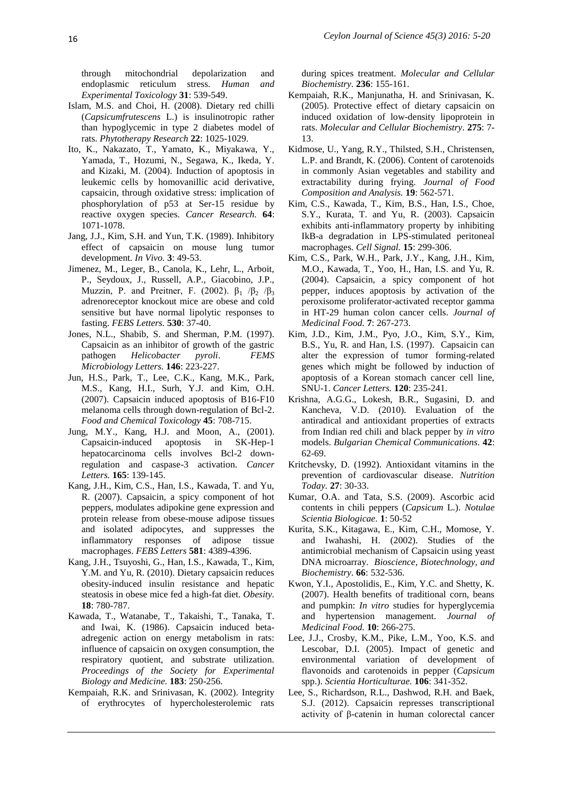through mitochondrial depolarization and endoplasmic reticulum stress. *Human and Experimental Toxicology* **31**: 539-549.

- Islam, M.S. and Choi, H. (2008). Dietary red chilli (*Capsicumfrutescens* L.) is insulinotropic rather than hypoglycemic in type 2 diabetes model of rats. *Phytotherapy Research* **22**: 1025-1029.
- Ito, K., Nakazato, T., Yamato, K., Miyakawa, Y., Yamada, T., Hozumi, N., Segawa, K., Ikeda, Y. and Kizaki, M. (2004). Induction of apoptosis in leukemic cells by homovanillic acid derivative, capsaicin, through oxidative stress: implication of phosphorylation of p53 at Ser-15 residue by reactive oxygen species. *Cancer Research.* **64**: 1071-1078.
- Jang, J.J., Kim, S.H. and Yun, T.K. (1989). Inhibitory effect of capsaicin on mouse lung tumor development. *In Vivo.* **3**: 49-53.
- Jimenez, M., Leger, B., Canola, K., Lehr, L., Arboit, P., Seydoux, J., Russell, A.P., Giacobino, J.P., Muzzin, P. and Preitner, F. (2002).  $\beta_1$  / $\beta_2$  / $\beta_3$ adrenoreceptor knockout mice are obese and cold sensitive but have normal lipolytic responses to fasting. *FEBS Letters.* **530**: 37-40.
- Jones, N.L., Shabib, S. and Sherman, P.M. (1997). Capsaicin as an inhibitor of growth of the gastric pathogen *Helicobacter pyroli*. *FEMS Microbiology Letters.* **146**: 223-227.
- Jun, H.S., Park, T., Lee, C.K., Kang, M.K., Park, M.S., Kang, H.I., Surh, Y.J. and Kim, O.H. (2007). Capsaicin induced apoptosis of B16-F10 melanoma cells through down-regulation of Bcl-2. *Food and Chemical Toxicology* **45**: 708-715.
- Jung, M.Y., Kang, H.J. and Moon, A., (2001). Capsaicin-induced apoptosis in SK-Hep-1 hepatocarcinoma cells involves Bcl-2 downregulation and caspase-3 activation. *Cancer Letters.* **165**: 139-145.
- Kang, J.H., Kim, C.S., Han, I.S., Kawada, T. and Yu, R. (2007). Capsaicin, a spicy component of hot peppers, modulates adipokine gene expression and protein release from obese-mouse adipose tissues and isolated adipocytes, and suppresses the inflammatory responses of adipose tissue macrophages. *FEBS Letters* **581**: 4389-4396.
- Kang, J.H., Tsuyoshi, G., Han, I.S., Kawada, T., Kim, Y.M. and Yu, R. (2010). Dietary capsaicin reduces obesity-induced insulin resistance and hepatic steatosis in obese mice fed a high-fat diet. *Obesity.* **18**: 780-787.
- Kawada, T., Watanabe, T., Takaishi, T., Tanaka, T. and Iwai, K. (1986). Capsaicin induced betaadregenic action on energy metabolism in rats: influence of capsaicin on oxygen consumption, the respiratory quotient, and substrate utilization. *Proceedings of the Society for Experimental Biology and Medicine.* **183**: 250-256.
- Kempaiah, R.K. and Srinivasan, K. (2002). Integrity of erythrocytes of hypercholesterolemic rats

during spices treatment. *Molecular and Cellular Biochemistry.* **236**: 155-161.

- Kempaiah, R.K., Manjunatha, H. and Srinivasan, K. (2005). Protective effect of dietary capsaicin on induced oxidation of low-density lipoprotein in rats. *Molecular and Cellular Biochemistry.* **275**: 7- 13.
- Kidmose, U., Yang, R.Y., Thilsted, S.H., Christensen, L.P. and Brandt, K. (2006). Content of carotenoids in commonly Asian vegetables and stability and extractability during frying. *Journal of Food Composition and Analysis.* **19**: 562-571.
- Kim, C.S., Kawada, T., Kim, B.S., Han, I.S., Choe, S.Y., Kurata, T. and Yu, R. (2003). Capsaicin exhibits anti-inflammatory property by inhibiting IkB-a degradation in LPS-stimulated peritoneal macrophages. *Cell Signal.* **15**: 299-306.
- Kim, C.S., Park, W.H., Park, J.Y., Kang, J.H., Kim, M.O., Kawada, T., Yoo, H., Han, I.S. and Yu, R. (2004). Capsaicin, a spicy component of hot pepper, induces apoptosis by activation of the peroxisome proliferator-activated receptor gamma in HT-29 human colon cancer cells. *Journal of Medicinal Food.* **7**: 267-273.
- Kim, J.D., Kim, J.M., Pyo, J.O., Kim, S.Y., Kim, B.S., Yu, R. and Han, I.S. (1997). Capsaicin can alter the expression of tumor forming-related genes which might be followed by induction of apoptosis of a Korean stomach cancer cell line, SNU-1. *Cancer Letters.* **120**: 235-241.
- Krishna, A.G.G., Lokesh, B.R., Sugasini, D. and Kancheva, V.D. (2010). Evaluation of the antiradical and antioxidant properties of extracts from Indian red chili and black pepper by *in vitro* models. *Bulgarian Chemical Communications.* **42**: 62-69.
- Kritchevsky, D. (1992). Antioxidant vitamins in the prevention of cardiovascular disease. *Nutrition Today.* **27**: 30-33.
- Kumar, O.A. and Tata, S.S. (2009). Ascorbic acid contents in chili peppers (*Capsicum* L.). *Notulae Scientia Biologicae.* **1**: 50-52
- Kurita, S.K., Kitagawa, E., Kim, C.H., Momose, Y. and Iwahashi, H. (2002). Studies of the antimicrobial mechanism of Capsaicin using yeast DNA microarray. *Bioscience, Biotechnology, and Biochemistry.* **66**: 532-536.
- Kwon, Y.I., Apostolidis, E., Kim, Y.C. and Shetty, K. (2007). Health benefits of traditional corn, beans and pumpkin: *In vitro* studies for hyperglycemia and hypertension management. *Journal of Medicinal Food.* **10**: 266-275.
- Lee, J.J., Crosby, K.M., Pike, L.M., Yoo, K.S. and Lescobar, D.I. (2005). Impact of genetic and environmental variation of development of flavonoids and carotenoids in pepper (*Capsicum* spp.). *Scientia Horticulturae.* **106**: 341-352.
- Lee, S., Richardson, R.L., Dashwod, R.H. and Baek, S.J. (2012). Capsaicin represses transcriptional activity of β-catenin in human colorectal cancer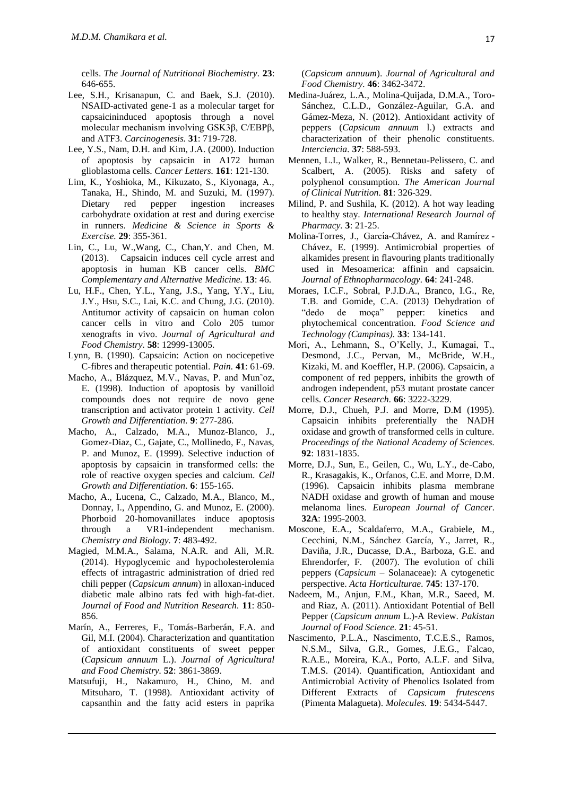cells. *The Journal of Nutritional Biochemistry.* **23**: 646-655.

- Lee, S.H., Krisanapun, C. and Baek, S.J. (2010). NSAID-activated gene-1 as a molecular target for capsaicininduced apoptosis through a novel molecular mechanism involving GSK3β, C/EBPβ, and ATF3. *Carcinogenesis.* **31**: 719-728.
- Lee, Y.S., Nam, D.H. and Kim, J.A. (2000). Induction of apoptosis by capsaicin in A172 human glioblastoma cells. *Cancer Letters.* **161**: 121-130.
- Lim, K., Yoshioka, M., Kikuzato, S., Kiyonaga, A., Tanaka, H., Shindo, M. and Suzuki, M. (1997). Dietary red pepper ingestion increases carbohydrate oxidation at rest and during exercise in runners. *Medicine & Science in Sports & Exercise.* **29**: 355-361.
- Lin, C., Lu, W.,Wang, C., Chan,Y. and Chen, M. (2013). Capsaicin induces cell cycle arrest and apoptosis in human KB cancer cells. *BMC Complementary and Alternative Medicine.* **13**: 46.
- Lu, H.F., Chen, Y.L., Yang, J.S., Yang, Y.Y., Liu, J.Y., Hsu, S.C., Lai, K.C. and Chung, J.G. (2010). Antitumor activity of capsaicin on human colon cancer cells in vitro and Colo 205 tumor xenografts in vivo. *Journal of Agricultural and Food Chemistry.* **58**: 12999-13005.
- Lynn, B. (1990). Capsaicin: Action on nocicepetive C-fibres and therapeutic potential. *Pain.* **41**: 61-69.
- Macho, A., Blázquez, M.V., Navas, P. and Mun˜oz, E. (1998). Induction of apoptosis by vanilloid compounds does not require de novo gene transcription and activator protein 1 activity. *Cell Growth and Differentiation.* **9**: 277-286.
- Macho, A., Calzado, M.A., Munoz-Blanco, J., Gomez-Diaz, C., Gajate, C., Mollinedo, F., Navas, P. and Munoz, E. (1999). Selective induction of apoptosis by capsaicin in transformed cells: the role of reactive oxygen species and calcium. *Cell Growth and Differentiation.* **6**: 155-165.
- Macho, A., Lucena, C., Calzado, M.A., Blanco, M., Donnay, I., Appendino, G. and Munoz, E. (2000). Phorboid 20-homovanillates induce apoptosis through a VR1-independent mechanism. *Chemistry and Biology.* **7**: 483-492.
- Magied, M.M.A., Salama, N.A.R. and Ali, M.R. (2014). Hypoglycemic and hypocholesterolemia effects of intragastric administration of dried red chili pepper (*Capsicum annum*) in alloxan-induced diabetic male albino rats fed with high-fat-diet. *Journal of Food and Nutrition Research.* **11**: 850- 856.
- Marín, A., Ferreres, F., Tomás-Barberán, F.A. and Gil, M.I. (2004). Characterization and quantitation of antioxidant constituents of sweet pepper (*Capsicum annuum* L.). *Journal of Agricultural and Food Chemistry.* **52**: 3861-3869.
- Matsufuji, H., Nakamuro, H., Chino, M. and Mitsuharo, T. (1998). Antioxidant activity of capsanthin and the fatty acid esters in paprika

(*Capsicum annuum*). *Journal of Agricultural and Food Chemistry.* **46**: 3462-3472.

- Medina-Juárez, L.A., Molina-Quijada, D.M.A., Toro-Sánchez, C.L.D., González-Aguilar, G.A. and Gámez-Meza, N. (2012). Antioxidant activity of peppers (*Capsicum annuum* l.) extracts and characterization of their phenolic constituents. *Interciencia.* **37**: 588-593.
- Mennen, L.I., Walker, R., Bennetau-Pelissero, C. and Scalbert, A. (2005). Risks and safety of polyphenol consumption. *The American Journal of Clinical Nutrition.* **81**: 326-329.
- Milind, P. and Sushila, K. (2012). A hot way leading to healthy stay. *International Research Journal of Pharmacy.* **3**: 21-25.
- Molina-Torres, J., García-Chávez, A. and Ramírez -Chávez, E. (1999). Antimicrobial properties of alkamides present in flavouring plants traditionally used in Mesoamerica: affinin and capsaicin. *Journal of Ethnopharmacology.* **64**: 241-248.
- Moraes, I.C.F., Sobral, P.J.D.A., Branco, I.G., Re, T.B. and Gomide, C.A. (2013) Dehydration of "dedo de moça" pepper: kinetics and phytochemical concentration. *Food Science and Technology (Campinas).* **33**: 134-141.
- Mori, A., Lehmann, S., O"Kelly, J., Kumagai, T., Desmond, J.C., Pervan, M., McBride, W.H., Kizaki, M. and Koeffler, H.P. (2006). Capsaicin, a component of red peppers, inhibits the growth of androgen independent, p53 mutant prostate cancer cells. *Cancer Research.* **66**: 3222-3229.
- Morre, D.J., Chueh, P.J. and Morre, D.M (1995). Capsaicin inhibits preferentially the NADH oxidase and growth of transformed cells in culture. *Proceedings of the National Academy of Sciences.* **92**: 1831-1835.
- Morre, D.J., Sun, E., Geilen, C., Wu, L.Y., de-Cabo, R., Krasagakis, K., Orfanos, C.E. and Morre, D.M. (1996). Capsaicin inhibits plasma membrane NADH oxidase and growth of human and mouse melanoma lines. *European Journal of Cancer.* **32A**: 1995-2003.
- Moscone, E.A., Scaldaferro, M.A., Grabiele, M., Cecchini, N.M., Sánchez García, Y., Jarret, R., Daviña, J.R., Ducasse, D.A., Barboza, G.E. and Ehrendorfer, F. (2007). The evolution of chili peppers (*Capsicum* – Solanaceae): A cytogenetic perspective. *Acta Horticulturae.* **745**: 137-170.
- Nadeem, M., Anjun, F.M., Khan, M.R., Saeed, M. and Riaz, A. (2011). Antioxidant Potential of Bell Pepper (*Capsicum annum* L.)-A Review. *Pakistan Journal of Food Science.* **21**: 45-51.
- Nascimento, P.L.A., Nascimento, T.C.E.S., Ramos, N.S.M., Silva, G.R., Gomes, J.E.G., Falcao, R.A.E., Moreira, K.A., Porto, A.L.F. and Silva, T.M.S. (2014). Quantification, Antioxidant and Antimicrobial Activity of Phenolics Isolated from Different Extracts of *Capsicum frutescens* (Pimenta Malagueta). *Molecules.* **19**: 5434-5447.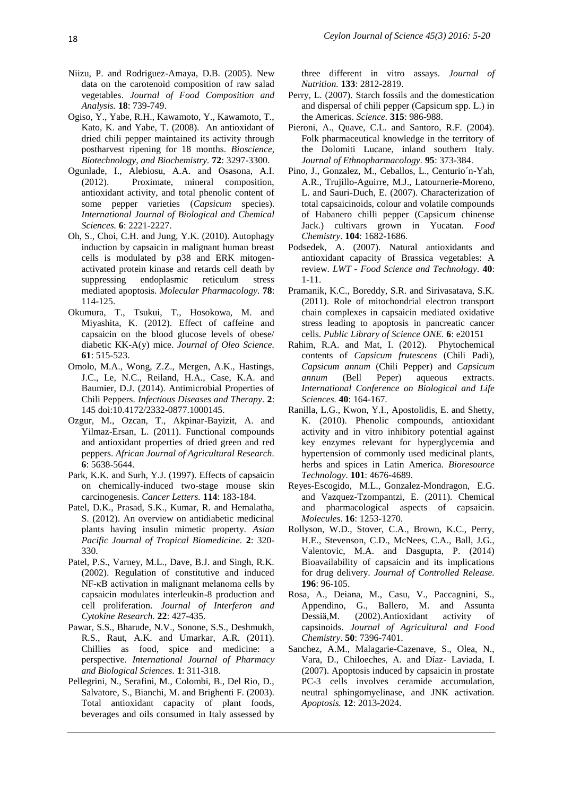- Niizu, P. and Rodriguez-Amaya, D.B. (2005). New data on the carotenoid composition of raw salad vegetables. *Journal of Food Composition and Analysis.* **18**: 739-749.
- Ogiso, Y., Yabe, R.H., Kawamoto, Y., Kawamoto, T., Kato, K. and Yabe, T. (2008). An antioxidant of dried chili pepper maintained its activity through postharvest ripening for 18 months. *Bioscience, Biotechnology, and Biochemistry.* **72**: 3297-3300.
- Ogunlade, I., Alebiosu, A.A. and Osasona, A.I. (2012). Proximate, mineral composition, antioxidant activity, and total phenolic content of some pepper varieties (*Capsicum* species). *International Journal of Biological and Chemical Sciences.* **6**: 2221-2227.
- Oh, S., Choi, C.H. and Jung, Y.K. (2010). Autophagy induction by capsaicin in malignant human breast cells is modulated by p38 and ERK mitogenactivated protein kinase and retards cell death by suppressing endoplasmic reticulum stress mediated apoptosis. *Molecular Pharmacology.* **78**: 114-125.
- Okumura, T., Tsukui, T., Hosokowa, M. and Miyashita, K. (2012). Effect of caffeine and capsaicin on the blood glucose levels of obese/ diabetic KK-A(y) mice. *Journal of Oleo Science.* **61**: 515-523.
- Omolo, M.A., Wong, Z.Z., Mergen, A.K., Hastings, J.C., Le, N.C., Reiland, H.A., Case, K.A. and Baumier, D.J. (2014). Antimicrobial Properties of Chili Peppers. *Infectious Diseases and Therapy.* **2**: 145 doi:10.4172/2332-0877.1000145.
- Ozgur, M., Ozcan, T., Akpinar-Bayizit, A. and Yilmaz-Ersan, L. (2011). Functional compounds and antioxidant properties of dried green and red peppers. *African Journal of Agricultural Research.* **6**: 5638-5644.
- Park, K.K. and Surh, Y.J. (1997). Effects of capsaicin on chemically-induced two-stage mouse skin carcinogenesis. *Cancer Letters.* **114**: 183-184.
- Patel, D.K., Prasad, S.K., Kumar, R. and Hemalatha, S. (2012). An overview on antidiabetic medicinal plants having insulin mimetic property. *Asian Pacific Journal of Tropical Biomedicine.* **2**: 320- 330.
- Patel, P.S., Varney, M.L., Dave, B.J. and Singh, R.K. (2002). Regulation of constitutive and induced NF-κB activation in malignant melanoma cells by capsaicin modulates interleukin-8 production and cell proliferation. *Journal of Interferon and Cytokine Research.* **22**: 427-435.
- Pawar, S.S., Bharude, N.V., Sonone, S.S., Deshmukh, R.S., Raut, A.K. and Umarkar, A.R. (2011). Chillies as food, spice and medicine: a perspective. *International Journal of Pharmacy and Biological Sciences.* **1**: 311-318.
- Pellegrini, N., Serafini, M., Colombi, B., Del Rio, D., Salvatore, S., Bianchi, M. and Brighenti F. (2003). Total antioxidant capacity of plant foods, beverages and oils consumed in Italy assessed by

three different in vitro assays. *Journal of Nutrition.* **133**: 2812-2819.

- Perry, L. (2007). Starch fossils and the domestication and dispersal of chili pepper (Capsicum spp. L.) in the Americas. *Science.* **315**: 986-988.
- Pieroni, A., Quave, C.L. and Santoro, R.F. (2004). Folk pharmaceutical knowledge in the territory of the Dolomiti Lucane, inland southern Italy. *Journal of Ethnopharmacology.* **95**: 373-384.
- Pino, J., Gonzalez, M., Ceballos, L., Centurio´n-Yah, A.R., Trujillo-Aguirre, M.J., Latournerie-Moreno, L. and Sauri-Duch, E. (2007). Characterization of total capsaicinoids, colour and volatile compounds of Habanero chilli pepper (Capsicum chinense Jack.) cultivars grown in Yucatan. *Food Chemistry.* **104**: 1682-1686.
- Podsedek, A. (2007). Natural antioxidants and antioxidant capacity of Brassica vegetables: A review. *LWT - Food Science and Technology.* **40**: 1-11.
- Pramanik, K.C., Boreddy, S.R. and Sirivasatava, S.K. (2011). Role of mitochondrial electron transport chain complexes in capsaicin mediated oxidative stress leading to apoptosis in pancreatic cancer cells. *Public Library of Science ONE.* **6**: e20151
- Rahim, R.A. and Mat, I. (2012). Phytochemical contents of *Capsicum frutescens* (Chili Padi), *Capsicum annum* (Chili Pepper) and *Capsicum annum* (Bell Peper) aqueous extracts. *International Conference on Biological and Life Sciences.* **40**: 164-167.
- Ranilla, L.G., Kwon, Y.I., Apostolidis, E. and Shetty, K. (2010). Phenolic compounds, antioxidant activity and in vitro inhibitory potential against key enzymes relevant for hyperglycemia and hypertension of commonly used medicinal plants, herbs and spices in Latin America. *Bioresource Technology.* **101**: 4676-4689.
- Reyes-Escogido, M.L., Gonzalez-Mondragon, E.G. and Vazquez-Tzompantzi, E. (2011). Chemical and pharmacological aspects of capsaicin. *Molecules.* **16**: 1253-1270.
- Rollyson, W.D., Stover, C.A., Brown, K.C., Perry, H.E., Stevenson, C.D., McNees, C.A., Ball, J.G., Valentovic, M.A. and Dasgupta, P. (2014) Bioavailability of capsaicin and its implications for drug delivery. *Journal of Controlled Release.* **196**: 96-105.
- Rosa, A., Deiana, M., Casu, V., Paccagnini, S., Appendino, G., Ballero, M. and Assunta Dessiä,M. (2002).Antioxidant activity of capsinoids. *Journal of Agricultural and Food Chemistry*. **50**: 7396-7401.
- Sanchez, A.M., Malagarie-Cazenave, S., Olea, N., Vara, D., Chiloeches, A. and Díaz- Laviada, I. (2007). Apoptosis induced by capsaicin in prostate PC-3 cells involves ceramide accumulation, neutral sphingomyelinase, and JNK activation. *Apoptosis.* **12**: 2013-2024.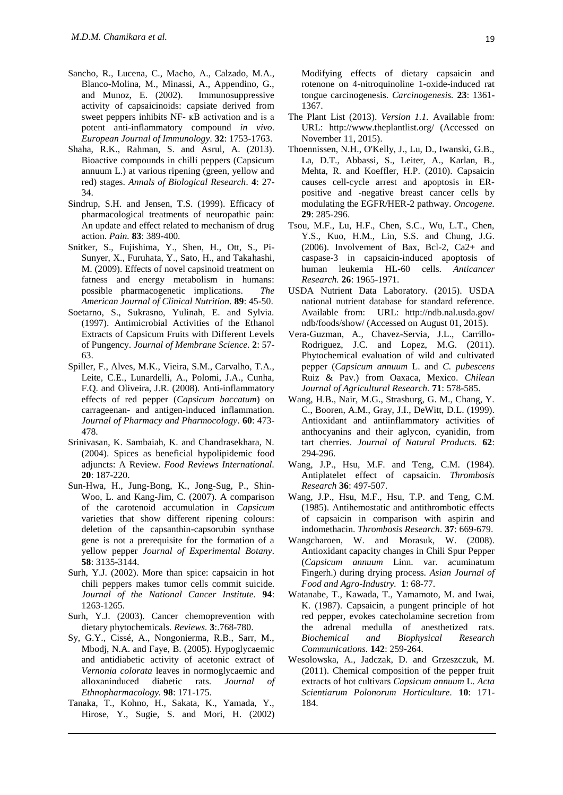- Sancho, R., Lucena, C., Macho, A., Calzado, M.A., Blanco-Molina, M., Minassi, A., Appendino, G., and Munoz, E. (2002). Immunosuppressive activity of capsaicinoids: capsiate derived from sweet peppers inhibits NF-  $\kappa$ B activation and is a potent anti-inflammatory compound *in vivo*. *European Journal of Immunology.* **32**: 1753-1763.
- Shaha, R.K., Rahman, S. and Asrul, A. (2013). Bioactive compounds in chilli peppers (Capsicum annuum L.) at various ripening (green, yellow and red) stages. *Annals of Biological Research.* **4**: 27- 34.
- Sindrup, S.H. and Jensen, T.S. (1999). Efficacy of pharmacological treatments of neuropathic pain: An update and effect related to mechanism of drug action. *Pain.* **83**: 389-400.
- Snitker, S., Fujishima, Y., Shen, H., Ott, S., Pi-Sunyer, X., Furuhata, Y., Sato, H., and Takahashi, M. (2009). Effects of novel capsinoid treatment on fatness and energy metabolism in humans: possible pharmacogenetic implications. *The American Journal of Clinical Nutrition.* **89**: 45-50.
- Soetarno, S., Sukrasno, Yulinah, E. and Sylvia. (1997). Antimicrobial Activities of the Ethanol Extracts of Capsicum Fruits with Different Levels of Pungency. *Journal of Membrane Science.* **2**: 57- 63.
- Spiller, F., Alves, M.K., Vieira, S.M., Carvalho, T.A., Leite, C.E., Lunardelli, A., Polomi, J.A., Cunha, F.Q. and Oliveira, J.R. (2008). Anti-inflammatory effects of red pepper (*Capsicum baccatum*) on carrageenan- and antigen-induced inflammation. *Journal of Pharmacy and Pharmocology.* **60**: 473- 478.
- Srinivasan, K. Sambaiah, K. and Chandrasekhara, N. (2004). Spices as beneficial hypolipidemic food adjuncts: A Review. *Food Reviews International.* **20**: 187-220.
- Sun-Hwa, H., Jung-Bong, K., Jong-Sug, P., Shin-Woo, L. and Kang-Jim, C. (2007). A comparison of the carotenoid accumulation in *Capsicum* varieties that show different ripening colours: deletion of the capsanthin-capsorubin synthase gene is not a prerequisite for the formation of a yellow pepper *Journal of Experimental Botany.* **58**: 3135-3144.
- Surh, Y.J. (2002). More than spice: capsaicin in hot chili peppers makes tumor cells commit suicide. *Journal of the National Cancer Institute.* **94**: 1263-1265.
- Surh, Y.J. (2003). Cancer chemoprevention with dietary phytochemicals. *Reviews.* **3**:.768-780.
- Sy, G.Y., Cissé, A., Nongonierma, R.B., Sarr, M., Mbodj, N.A. and Faye, B. (2005). Hypoglycaemic and antidiabetic activity of acetonic extract of *Vernonia colorata* leaves in normoglycaemic and alloxaninduced diabetic rats. *Journal of Ethnopharmacology.* **98**: 171-175.
- Tanaka, T., Kohno, H., Sakata, K., Yamada, Y., Hirose, Y., Sugie, S. and Mori, H. (2002)

Modifying effects of dietary capsaicin and rotenone on 4-nitroquinoline 1-oxide-induced rat tongue carcinogenesis. *Carcinogenesis.* **23**: 1361- 1367.

- The Plant List (2013). *Version 1.1.* Available from: URL: http://www.theplantlist.org/ (Accessed on November 11, 2015).
- Thoennissen, N.H., O'Kelly, J., Lu, D., Iwanski, G.B., La, D.T., Abbassi, S., Leiter, A., Karlan, B., Mehta, R. and Koeffler, H.P. (2010). Capsaicin causes cell-cycle arrest and apoptosis in ERpositive and -negative breast cancer cells by modulating the EGFR/HER-2 pathway. *Oncogene.* **29**: 285-296.
- Tsou, M.F., Lu, H.F., Chen, S.C., Wu, L.T., Chen, Y.S., Kuo, H.M., Lin, S.S. and Chung, J.G. (2006). Involvement of Bax, Bcl-2, Ca2+ and caspase-3 in capsaicin-induced apoptosis of human leukemia HL-60 cells. *Anticancer Research.* **26**: 1965-1971.
- USDA Nutrient Data Laboratory. (2015). USDA national nutrient database for standard reference. Available from: URL: <http://ndb.nal.usda.gov/> ndb/foods/show/ (Accessed on August 01, 2015).
- Vera-Guzman, A., Chavez-Servia, J.L., Carrillo-Rodriguez, J.C. and Lopez, M.G. (2011). Phytochemical evaluation of wild and cultivated pepper (*Capsicum annuum* L. and *C. pubescens* Ruiz & Pav.) from Oaxaca, Mexico. *Chilean Journal of Agricultural Research.* **71**: 578-585.
- Wang, H.B., Nair, M.G., Strasburg, G. M., Chang, Y. C., Booren, A.M., Gray, J.I., DeWitt, D.L. (1999). Antioxidant and antiinflammatory activities of anthocyanins and their aglycon, cyanidin, from tart cherries. *Journal of Natural Products.* **62**: 294-296.
- Wang, J.P., Hsu, M.F. and Teng, C.M. (1984). Antiplatelet effect of capsaicin. *Thrombosis Research* **36**: 497-507.
- Wang, J.P., Hsu, M.F., Hsu, T.P. and Teng, C.M. (1985). Antihemostatic and antithrombotic effects of capsaicin in comparison with aspirin and indomethacin. *Thrombosis Research.* **37**: 669-679.
- Wangcharoen, W. and Morasuk, W. (2008). Antioxidant capacity changes in Chili Spur Pepper (*Capsicum annuum* Linn. var. acuminatum Fingerh.) during drying process. *Asian Journal of Food and Agro-Industry.* **1**: 68-77.
- Watanabe, T., Kawada, T., Yamamoto, M. and Iwai, K. (1987). Capsaicin, a pungent principle of hot red pepper, evokes catecholamine secretion from the adrenal medulla of anesthetized rats. *Biochemical and Biophysical Research Communications.* **142**: 259-264.
- Wesolowska, A., Jadczak, D. and Grzeszczuk, M. (2011). Chemical composition of the pepper fruit extracts of hot cultivars *Capsicum annuum* L. *Acta Scientiarum Polonorum Horticulture.* **10**: 171- 184.